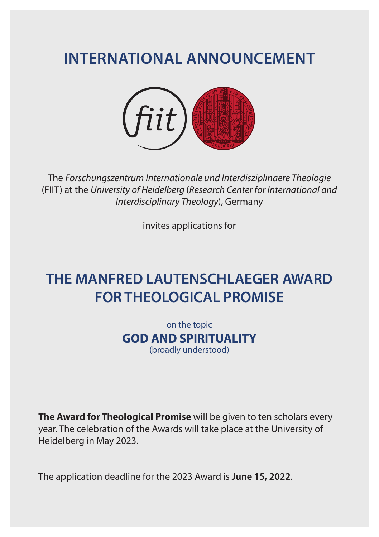# **INTERNATIONAL ANNOUNCEMENT**



The *Forschungszentrum Internationale und Interdisziplinaere Theologie* (FIIT) at the *University of Heidelberg* (*Research Center for International and Interdisciplinary Theology*), Germany

invites applications for

## **THE MANFRED LAUTENSCHLAEGER AWARD FOR THEOLOGICAL PROMISE**

on the topic **GOD AND SPIRITUALITY** (broadly understood)

**The Award for Theological Promise** will be given to ten scholars every year. The celebration of the Awards will take place at the University of Heidelberg in May 2023.

The application deadline for the 2023 Award is **June 15, 2022**.